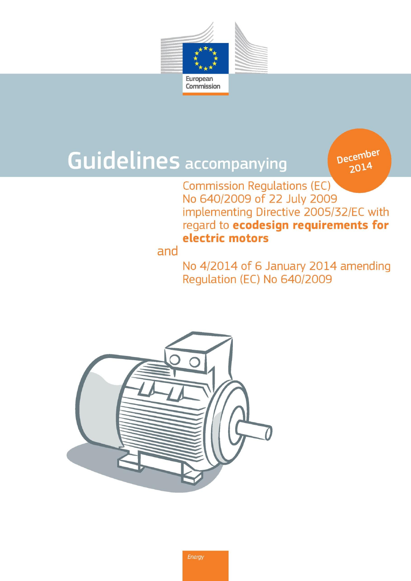

# **Guidelines accompanying**

**December** 2014

**Commission Regulations (EC)** No 640/2009 of 22 July 2009 implementing Directive 2005/32/EC with regard to ecodesign requirements for electric motors

# and

No 4/2014 of 6 January 2014 amending Regulation (EC) No 640/2009

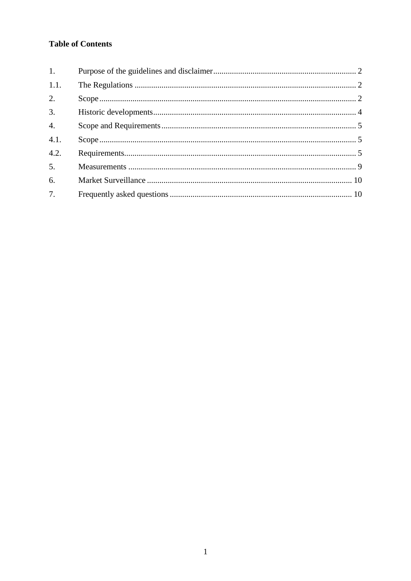# **Table of Contents**

| $\mathbf{1}$ .   |  |
|------------------|--|
| 1.1.             |  |
| 2.               |  |
| $\overline{3}$ . |  |
| $\overline{4}$ . |  |
| 4.1.             |  |
| 4.2.             |  |
| $\overline{5}$ . |  |
| 6.               |  |
| 7.               |  |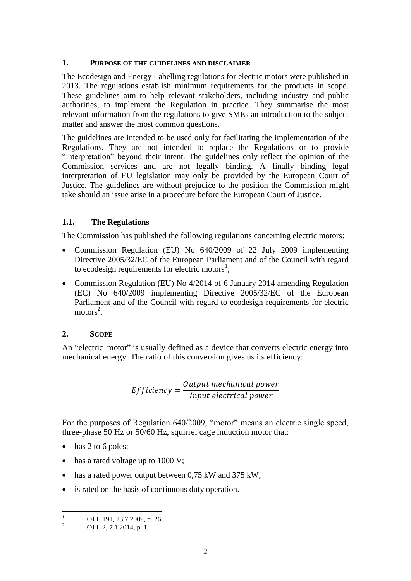#### <span id="page-2-0"></span>**1. PURPOSE OF THE GUIDELINES AND DISCLAIMER**

The Ecodesign and Energy Labelling regulations for electric motors were published in 2013. The regulations establish minimum requirements for the products in scope. These guidelines aim to help relevant stakeholders, including industry and public authorities, to implement the Regulation in practice. They summarise the most relevant information from the regulations to give SMEs an introduction to the subject matter and answer the most common questions.

The guidelines are intended to be used only for facilitating the implementation of the Regulations. They are not intended to replace the Regulations or to provide "interpretation" beyond their intent. The guidelines only reflect the opinion of the Commission services and are not legally binding. A finally binding legal interpretation of EU legislation may only be provided by the European Court of Justice. The guidelines are without prejudice to the position the Commission might take should an issue arise in a procedure before the European Court of Justice.

# <span id="page-2-1"></span>**1.1. The Regulations**

The Commission has published the following regulations concerning electric motors:

- Commission Regulation (EU) No 640/2009 of 22 July 2009 implementing Directive 2005/32/EC of the European Parliament and of the Council with regard to ecodesign requirements for electric motors<sup>1</sup>;
- Commission Regulation (EU) No 4/2014 of 6 January 2014 amending Regulation (EC) No 640/2009 implementing Directive 2005/32/EC of the European Parliament and of the Council with regard to ecodesign requirements for electric  $motors<sup>2</sup>$ .

# <span id="page-2-2"></span>**2. SCOPE**

An "electric motor" is usually defined as a device that converts electric energy into mechanical energy. The ratio of this conversion gives us its efficiency:

> $Efficiency =$ Output mechanical power Input electrical power

For the purposes of Regulation 640/2009, "motor" means an electric single speed, three-phase 50 Hz or 50/60 Hz, squirrel cage induction motor that:

- $\bullet$  has 2 to 6 poles;
- has a rated voltage up to 1000 V;
- has a rated power output between 0,75 kW and 375 kW;
- is rated on the basis of continuous duty operation.

 $\mathbf{1}$  $\frac{1}{2}$  OJ L 191, 23.7.2009, p. 26.

OJ L 2, 7.1.2014, p. 1.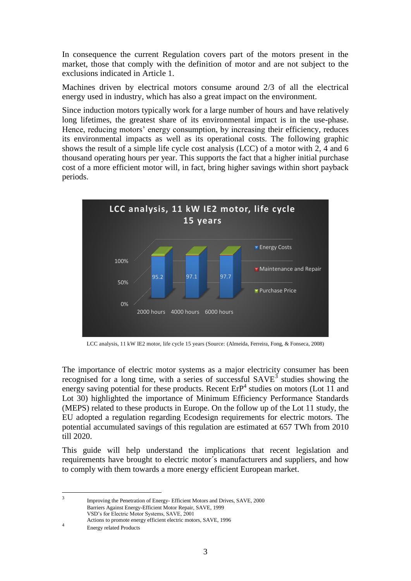In consequence the current Regulation covers part of the motors present in the market, those that comply with the definition of motor and are not subject to the exclusions indicated in Article 1.

Machines driven by electrical motors consume around 2/3 of all the electrical energy used in industry, which has also a great impact on the environment.

Since induction motors typically work for a large number of hours and have relatively long lifetimes, the greatest share of its environmental impact is in the use-phase. Hence, reducing motors' energy consumption, by increasing their efficiency, reduces its environmental impacts as well as its operational costs. The following graphic shows the result of a simple life cycle cost analysis (LCC) of a motor with 2, 4 and 6 thousand operating hours per year. This supports the fact that a higher initial purchase cost of a more efficient motor will, in fact, bring higher savings within short payback periods.



LCC analysis, 11 kW IE2 motor, life cycle 15 years (Source: (Almeida, Ferreira, Fong, & Fonseca, 2008)

The importance of electric motor systems as a major electricity consumer has been recognised for a long time, with a series of successful  $SAVE<sup>3</sup>$  studies showing the energy saving potential for these products. Recent  $ErP<sup>4</sup>$  studies on motors (Lot 11 and Lot 30) highlighted the importance of Minimum Efficiency Performance Standards (MEPS) related to these products in Europe. On the follow up of the Lot 11 study, the EU adopted a regulation regarding Ecodesign requirements for electric motors. The potential accumulated savings of this regulation are estimated at 657 TWh from 2010 till 2020.

This guide will help understand the implications that recent legislation and requirements have brought to electric motor´s manufacturers and suppliers, and how to comply with them towards a more energy efficient European market.

Improving the Penetration of Energy- Efficient Motors and Drives, SAVE, 2000 Barriers Against Energy-Efficient Motor Repair, SAVE, 1999 VSD's for Electric Motor Systems, SAVE, 2001

Actions to promote energy efficient electric motors, SAVE, 1996

4 Energy related Products

 $\frac{1}{3}$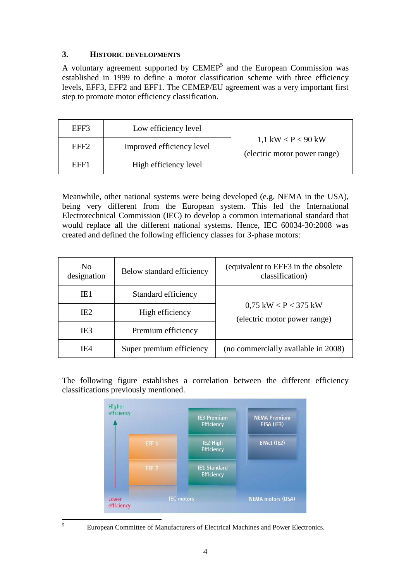# <span id="page-4-0"></span>**3. HISTORIC DEVELOPMENTS**

A voluntary agreement supported by  $\text{CEMEP}^5$  and the European Commission was established in 1999 to define a motor classification scheme with three efficiency levels, EFF3, EFF2 and EFF1. The CEMEP/EU agreement was a very important first step to promote motor efficiency classification.

| EFF3             | Low efficiency level      | 1,1 kW $\rm < P$ $\rm < 90$ kW<br>(electric motor power range) |
|------------------|---------------------------|----------------------------------------------------------------|
| EFF <sub>2</sub> | Improved efficiency level |                                                                |
| EFF1             | High efficiency level     |                                                                |

Meanwhile, other national systems were being developed (e.g. NEMA in the USA), being very different from the European system. This led the International Electrotechnical Commission (IEC) to develop a common international standard that would replace all the different national systems. Hence, IEC 60034-30:2008 was created and defined the following efficiency classes for 3-phase motors:

| N <sub>0</sub><br>designation | Below standard efficiency | (equivalent to EFF3 in the obsolete)<br>classification)            |  |
|-------------------------------|---------------------------|--------------------------------------------------------------------|--|
| IE1                           | Standard efficiency       |                                                                    |  |
| IE <sub>2</sub>               | High efficiency           | $0.75$ kW $\rm < P$ $\rm < 375$ kW<br>(electric motor power range) |  |
| IE <sub>3</sub>               | Premium efficiency        |                                                                    |  |
| IF <sub>4</sub>               | Super premium efficiency  | (no commercially available in 2008)                                |  |

The following figure establishes a correlation between the different efficiency classifications previously mentioned.



 $\sqrt{5}$ 

<sup>5</sup> European Committee of Manufacturers of Electrical Machines and Power Electronics.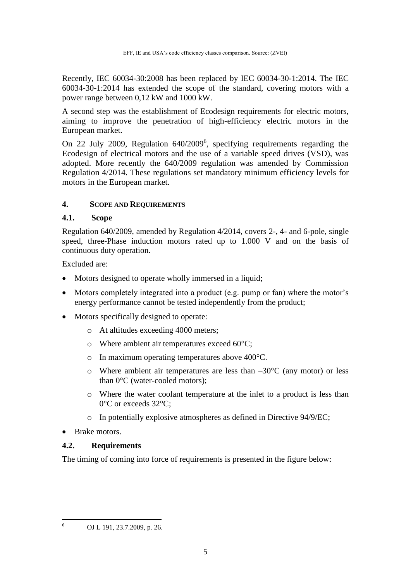Recently, IEC 60034-30:2008 has been replaced by IEC 60034-30-1:2014. The IEC 60034-30-1:2014 has extended the scope of the standard, covering motors with a power range between 0,12 kW and 1000 kW.

A second step was the establishment of Ecodesign requirements for electric motors, aiming to improve the penetration of high-efficiency electric motors in the European market.

On 22 July 2009, Regulation 640/2009<sup>6</sup>, specifying requirements regarding the Ecodesign of electrical motors and the use of a variable speed drives (VSD), was adopted. More recently the 640/2009 regulation was amended by Commission Regulation 4/2014. These regulations set mandatory minimum efficiency levels for motors in the European market.

#### <span id="page-5-0"></span>**4. SCOPE AND REQUIREMENTS**

#### <span id="page-5-1"></span>**4.1. Scope**

Regulation 640/2009, amended by Regulation 4/2014, covers 2-, 4- and 6-pole, single speed, three-Phase induction motors rated up to 1.000 V and on the basis of continuous duty operation.

Excluded are:

- Motors designed to operate wholly immersed in a liquid:
- Motors completely integrated into a product (e.g. pump or fan) where the motor's energy performance cannot be tested independently from the product;
- Motors specifically designed to operate:
	- o At altitudes exceeding 4000 meters;
	- o Where ambient air temperatures exceed 60°C;
	- o In maximum operating temperatures above 400°C.
	- $\circ$  Where ambient air temperatures are less than  $-30^{\circ}$ C (any motor) or less than 0°C (water-cooled motors);
	- o Where the water coolant temperature at the inlet to a product is less than 0°C or exceeds 32°C;
	- o In potentially explosive atmospheres as defined in Directive 94/9/EC;
- Brake motors.

#### <span id="page-5-2"></span>**4.2. Requirements**

The timing of coming into force of requirements is presented in the figure below:

 $6\overline{6}$ <sup>6</sup> OJ L 191, 23.7.2009, p. 26.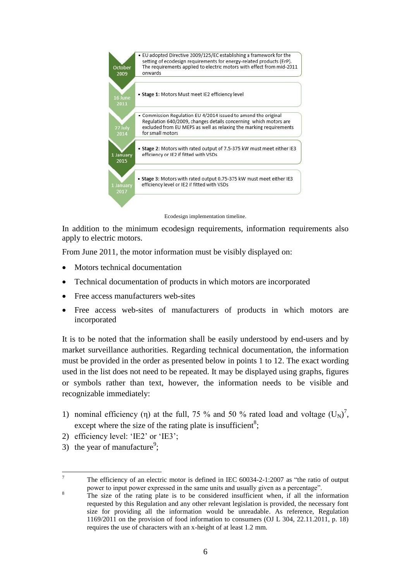

Ecodesign implementation timeline.

In addition to the minimum ecodesign requirements, information requirements also apply to electric motors.

From June 2011, the motor information must be visibly displayed on:

- Motors technical documentation
- Technical documentation of products in which motors are incorporated
- Free access manufacturers web-sites
- Free access web-sites of manufacturers of products in which motors are incorporated

It is to be noted that the information shall be easily understood by end-users and by market surveillance authorities. Regarding technical documentation, the information must be provided in the order as presented below in points 1 to 12. The exact wording used in the list does not need to be repeated. It may be displayed using graphs, figures or symbols rather than text, however, the information needs to be visible and recognizable immediately:

- 1) nominal efficiency (η) at the full, 75 % and 50 % rated load and voltage  $(U<sub>N</sub>)<sup>7</sup>$ , except where the size of the rating plate is insufficient<sup>8</sup>;
- 2) efficiency level: 'IE2' or 'IE3';
- 3) the year of manufacture<sup>9</sup>;

 $\tau$ <sup>7</sup> The efficiency of an electric motor is defined in IEC 60034-2-1:2007 as "the ratio of output power to input power expressed in the same units and usually given as a percentage".

 $8 \t\t\t The size of the rating plate is to be considered insufficient when, if all the information$ requested by this Regulation and any other relevant legislation is provided, the necessary font size for providing all the information would be unreadable. As reference, Regulation 1169/2011 on the provision of food information to consumers (OJ L 304, 22.11.2011, p. 18) requires the use of characters with an x-height of at least 1.2 mm.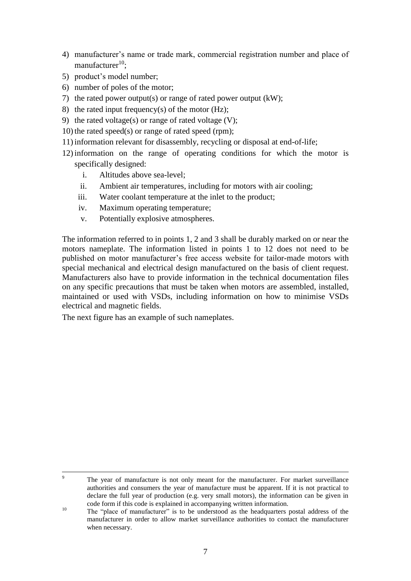- 4) manufacturer's name or trade mark, commercial registration number and place of manufacturer $^{10}$ ;
- 5) product's model number;
- 6) number of poles of the motor;
- 7) the rated power output(s) or range of rated power output (kW);
- 8) the rated input frequency(s) of the motor  $(Hz)$ ;
- 9) the rated voltage(s) or range of rated voltage  $(V)$ ;
- 10) the rated speed(s) or range of rated speed (rpm);
- 11) information relevant for disassembly, recycling or disposal at end-of-life;
- 12) information on the range of operating conditions for which the motor is specifically designed:
	- i. Altitudes above sea-level;
	- ii. Ambient air temperatures, including for motors with air cooling;
	- iii. Water coolant temperature at the inlet to the product;
	- iv. Maximum operating temperature;
	- v. Potentially explosive atmospheres.

The information referred to in points 1, 2 and 3 shall be durably marked on or near the motors nameplate. The information listed in points 1 to 12 does not need to be published on motor manufacturer's free access website for tailor-made motors with special mechanical and electrical design manufactured on the basis of client request. Manufacturers also have to provide information in the technical documentation files on any specific precautions that must be taken when motors are assembled, installed, maintained or used with VSDs, including information on how to minimise VSDs electrical and magnetic fields.

The next figure has an example of such nameplates.

 $\mathbf{Q}$ 

The year of manufacture is not only meant for the manufacturer. For market surveillance authorities and consumers the year of manufacture must be apparent. If it is not practical to declare the full year of production (e.g. very small motors), the information can be given in code form if this code is explained in accompanying written information.

<sup>&</sup>lt;sup>10</sup> The "place of manufacturer" is to be understood as the headquarters postal address of the manufacturer in order to allow market surveillance authorities to contact the manufacturer when necessary.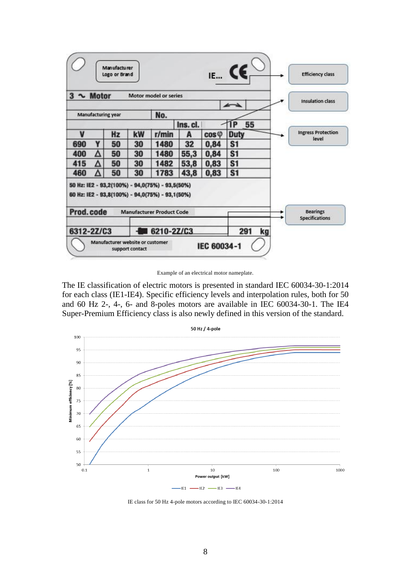

Example of an electrical motor nameplate.

The IE classification of electric motors is presented in standard IEC 60034-30-1:2014 for each class (IE1-IE4). Specific efficiency levels and interpolation rules, both for 50 and 60 Hz 2-, 4-, 6- and 8-poles motors are available in IEC 60034-30-1. The IE4 Super-Premium Efficiency class is also newly defined in this version of the standard.



IE class for 50 Hz 4-pole motors according to IEC 60034-30-1:2014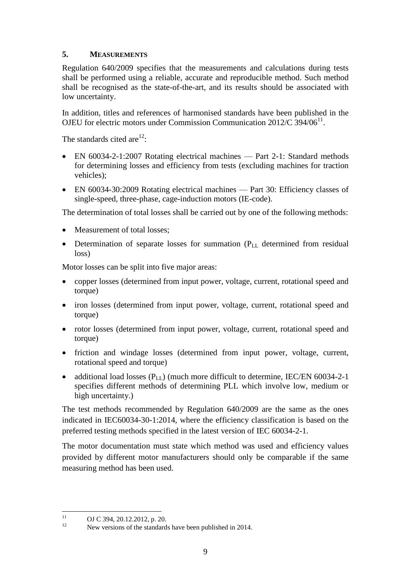# <span id="page-9-0"></span>**5. MEASUREMENTS**

Regulation 640/2009 specifies that the measurements and calculations during tests shall be performed using a reliable, accurate and reproducible method. Such method shall be recognised as the state-of-the-art, and its results should be associated with low uncertainty.

In addition, titles and references of harmonised standards have been published in the OJEU for electric motors under Commission Communication 2012/C 394/06<sup>11</sup>.

The standards cited are $^{12}$ :

- EN 60034-2-1:2007 Rotating electrical machines Part 2-1: Standard methods for determining losses and efficiency from tests (excluding machines for traction vehicles);
- EN 60034-30:2009 Rotating electrical machines Part 30: Efficiency classes of single-speed, three-phase, cage-induction motors (IE-code).

The determination of total losses shall be carried out by one of the following methods:

- Measurement of total losses;
- Determination of separate losses for summation (P<sub>LL</sub> determined from residual loss)

Motor losses can be split into five major areas:

- copper losses (determined from input power, voltage, current, rotational speed and torque)
- iron losses (determined from input power, voltage, current, rotational speed and torque)
- rotor losses (determined from input power, voltage, current, rotational speed and torque)
- friction and windage losses (determined from input power, voltage, current, rotational speed and torque)
- additional load losses  $(P_{LL})$  (much more difficult to determine, IEC/EN 60034-2-1 specifies different methods of determining PLL which involve low, medium or high uncertainty.)

The test methods recommended by Regulation 640/2009 are the same as the ones indicated in IEC60034-30-1:2014, where the efficiency classification is based on the preferred testing methods specified in the latest version of IEC 60034-2-1.

The motor documentation must state which method was used and efficiency values provided by different motor manufacturers should only be comparable if the same measuring method has been used.

 $11$  $11$  OJ C 394, 20.12.2012, p. 20.

New versions of the standards have been published in 2014.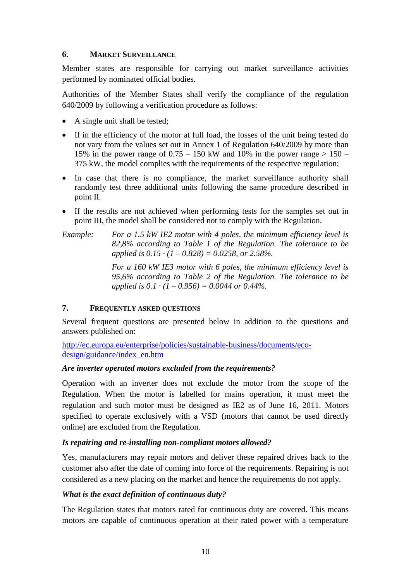### <span id="page-10-0"></span>**6. MARKET SURVEILLANCE**

Member states are responsible for carrying out market surveillance activities performed by nominated official bodies.

Authorities of the Member States shall verify the compliance of the regulation 640/2009 by following a verification procedure as follows:

- A single unit shall be tested;
- If in the efficiency of the motor at full load, the losses of the unit being tested do not vary from the values set out in Annex 1 of Regulation 640/2009 by more than 15% in the power range of  $0.75 - 150$  kW and 10% in the power range  $> 150 - 150$ 375 kW, the model complies with the requirements of the respective regulation;
- In case that there is no compliance, the market surveillance authority shall randomly test three additional units following the same procedure described in point II.
- If the results are not achieved when performing tests for the samples set out in point III, the model shall be considered not to comply with the Regulation.
- *Example: For a 1.5 kW IE2 motor with 4 poles, the minimum efficiency level is 82,8% according to Table 1 of the Regulation. The tolerance to be applied is 0.15 · (1 – 0.828) = 0.0258, or 2.58%.*

*For a 160 kW IE3 motor with 6 poles, the minimum efficiency level is 95,6% according to Table 2 of the Regulation. The tolerance to be applied is*  $0.1 \cdot (1 - 0.956) = 0.0044$  *or*  $0.44\%$ .

#### <span id="page-10-1"></span>**7. FREQUENTLY ASKED QUESTIONS**

Several frequent questions are presented below in addition to the questions and answers published on:

[http://ec.europa.eu/enterprise/policies/sustainable-business/documents/eco](http://ec.europa.eu/enterprise/policies/sustainable-business/documents/eco-design/guidance/index_en.htm)[design/guidance/index\\_en.htm](http://ec.europa.eu/enterprise/policies/sustainable-business/documents/eco-design/guidance/index_en.htm)

#### *Are inverter operated motors excluded from the requirements?*

Operation with an inverter does not exclude the motor from the scope of the Regulation. When the motor is labelled for mains operation, it must meet the regulation and such motor must be designed as IE2 as of June 16, 2011. Motors specified to operate exclusively with a VSD (motors that cannot be used directly online) are excluded from the Regulation.

# *Is repairing and re-installing non-compliant motors allowed?*

Yes, manufacturers may repair motors and deliver these repaired drives back to the customer also after the date of coming into force of the requirements. Repairing is not considered as a new placing on the market and hence the requirements do not apply.

#### *What is the exact definition of continuous duty?*

The Regulation states that motors rated for continuous duty are covered. This means motors are capable of continuous operation at their rated power with a temperature